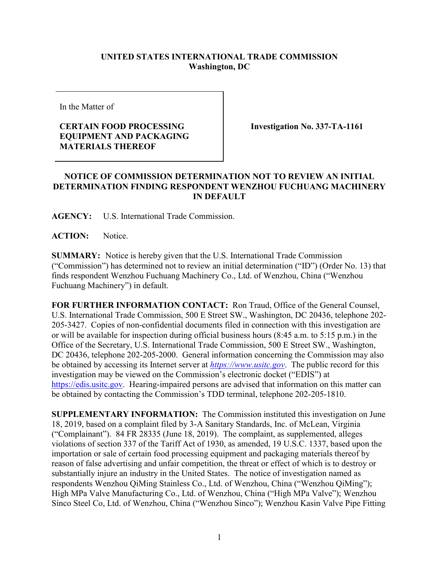## **UNITED STATES INTERNATIONAL TRADE COMMISSION Washington, DC**

In the Matter of

## **CERTAIN FOOD PROCESSING EQUIPMENT AND PACKAGING MATERIALS THEREOF**

**Investigation No. 337-TA-1161**

## **NOTICE OF COMMISSION DETERMINATION NOT TO REVIEW AN INITIAL DETERMINATION FINDING RESPONDENT WENZHOU FUCHUANG MACHINERY IN DEFAULT**

**AGENCY:** U.S. International Trade Commission.

**ACTION:** Notice.

**SUMMARY:** Notice is hereby given that the U.S. International Trade Commission ("Commission") has determined not to review an initial determination ("ID") (Order No. 13) that finds respondent Wenzhou Fuchuang Machinery Co., Ltd. of Wenzhou, China ("Wenzhou Fuchuang Machinery") in default.

**FOR FURTHER INFORMATION CONTACT:** Ron Traud, Office of the General Counsel, U.S. International Trade Commission, 500 E Street SW., Washington, DC 20436, telephone 202- 205-3427. Copies of non-confidential documents filed in connection with this investigation are or will be available for inspection during official business hours (8:45 a.m. to 5:15 p.m.) in the Office of the Secretary, U.S. International Trade Commission, 500 E Street SW., Washington, DC 20436, telephone 202-205-2000. General information concerning the Commission may also be obtained by accessing its Internet server at *[https://www.usitc.gov](https://www.usitc.gov/)*. The public record for this investigation may be viewed on the Commission's electronic docket ("EDIS") at [https://edis.usitc.gov.](https://edis.usitc.gov/) Hearing-impaired persons are advised that information on this matter can be obtained by contacting the Commission's TDD terminal, telephone 202-205-1810.

**SUPPLEMENTARY INFORMATION:** The Commission instituted this investigation on June 18, 2019, based on a complaint filed by 3-A Sanitary Standards, Inc. of McLean, Virginia ("Complainant"). 84 FR 28335 (June 18, 2019). The complaint, as supplemented, alleges violations of section 337 of the Tariff Act of 1930, as amended, 19 U.S.C. 1337, based upon the importation or sale of certain food processing equipment and packaging materials thereof by reason of false advertising and unfair competition, the threat or effect of which is to destroy or substantially injure an industry in the United States. The notice of investigation named as respondents Wenzhou QiMing Stainless Co., Ltd. of Wenzhou, China ("Wenzhou QiMing"); High MPa Valve Manufacturing Co., Ltd. of Wenzhou, China ("High MPa Valve"); Wenzhou Sinco Steel Co, Ltd. of Wenzhou, China ("Wenzhou Sinco"); Wenzhou Kasin Valve Pipe Fitting